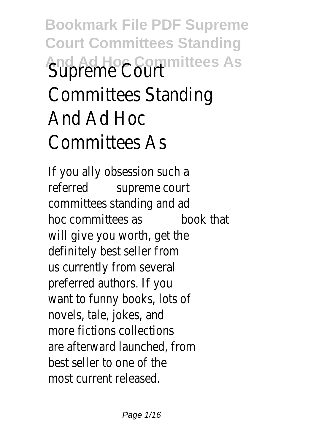## **Bookmark File PDF Supreme Court Committees Standing And Ad Hoc Committees As** Supreme Court Committees Standing And Ad Hoc Committees As

If you ally obsession such a referred supreme court committees standing and ad hoc committees as book that will give you worth, get the definitely best seller from us currently from several preferred authors. If you want to funny books, lots of novels, tale, jokes, and more fictions collections are afterward launched, from best seller to one of the most current released.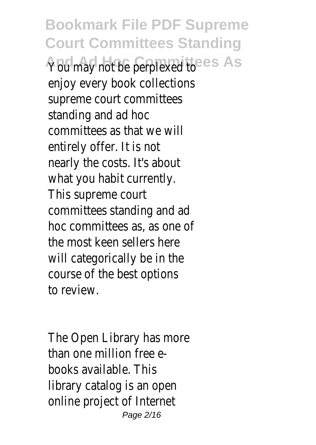**Bookmark File PDF Supreme Court Committees Standing** You may not be perplexed toes As enjoy every book collections supreme court committees standing and ad hoc committees as that we will entirely offer. It is not nearly the costs. It's about what you habit currently. This supreme court committees standing and ad hoc committees as, as one of the most keen sellers here will categorically be in the course of the best options to review.

The Open Library has more than one million free ebooks available. This library catalog is an open online project of Internet Page 2/16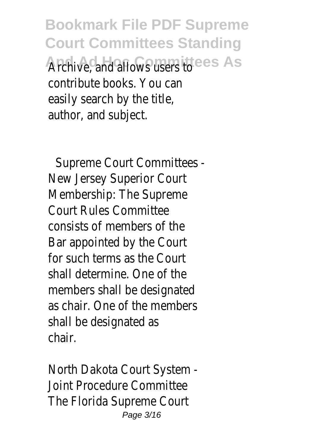**Bookmark File PDF Supreme Court Committees Standing** Archive, and allows users to es As contribute books. You can easily search by the title, author, and subject.

Supreme Court Committees - New Jersey Superior Court Membership: The Supreme Court Rules Committee consists of members of the Bar appointed by the Court for such terms as the Court shall determine. One of the members shall be designated as chair. One of the members shall be designated as chair.

North Dakota Court System - Joint Procedure Committee The Florida Supreme Court Page 3/16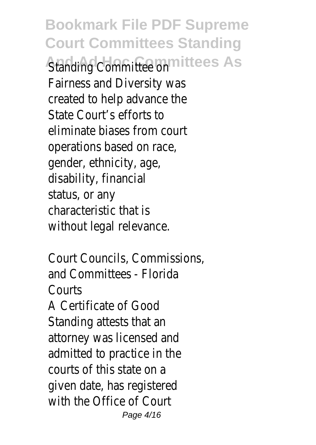**Bookmark File PDF Supreme Court Committees Standing Standing Committee on littees As** Fairness and Diversity was created to help advance the State Court's efforts to eliminate biases from court operations based on race, gender, ethnicity, age, disability, financial status, or any characteristic that is without legal relevance.

Court Councils, Commissions, and Committees - Florida Courts A Certificate of Good Standing attests that an attorney was licensed and admitted to practice in the courts of this state on a given date, has registered with the Office of Court Page 4/16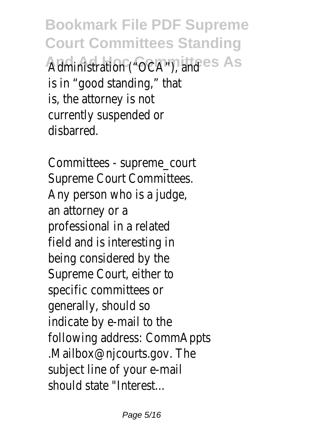**Bookmark File PDF Supreme Court Committees Standing** Administration ("OCA"), and ees As is in "good standing," that is, the attorney is not currently suspended or disbarred.

Committees - supreme\_court Supreme Court Committees. Any person who is a judge, an attorney or a professional in a related field and is interesting in being considered by the Supreme Court, either to specific committees or generally, should so indicate by e-mail to the following address: CommAppts .Mailbox@njcourts.gov. The subject line of your e-mail should state "Interest...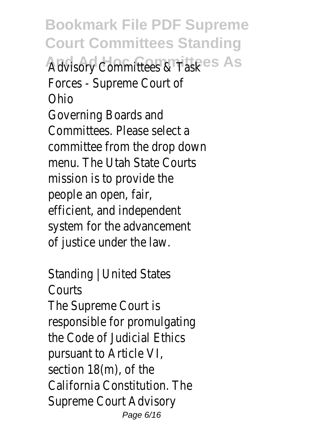**Bookmark File PDF Supreme Court Committees Standing** Advisory Committees & Task<sup>es</sup> As Forces - Supreme Court of Ohio Governing Boards and Committees. Please select a committee from the drop down menu. The Utah State Courts mission is to provide the people an open, fair, efficient, and independent system for the advancement of justice under the law.

Standing | United States Courts The Supreme Court is responsible for promulgating the Code of Judicial Ethics pursuant to Article VI, section 18(m), of the California Constitution. The Supreme Court Advisory Page 6/16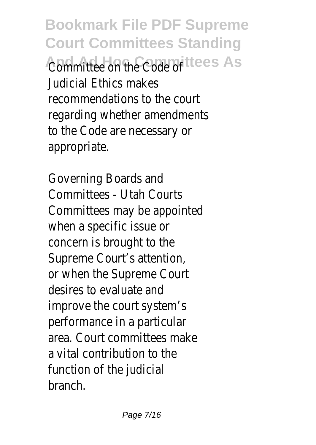**Bookmark File PDF Supreme Court Committees Standing** Committee on the Code of ees As Judicial Ethics makes recommendations to the court regarding whether amendments to the Code are necessary or appropriate.

Governing Boards and Committees - Utah Courts Committees may be appointed when a specific issue or concern is brought to the Supreme Court's attention, or when the Supreme Court desires to evaluate and improve the court system's performance in a particular area. Court committees make a vital contribution to the function of the judicial branch.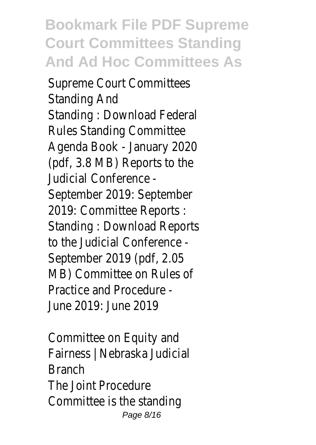**Bookmark File PDF Supreme Court Committees Standing And Ad Hoc Committees As**

Supreme Court Committees Standing And Standing : Download Federal Rules Standing Committee Agenda Book - January 2020 (pdf, 3.8 MB) Reports to the Judicial Conference - September 2019: September 2019: Committee Reports : Standing : Download Reports to the Judicial Conference - September 2019 (pdf, 2.05 MB) Committee on Rules of Practice and Procedure - June 2019: June 2019

Committee on Equity and Fairness | Nebraska Judicial Branch The Joint Procedure Committee is the standing Page 8/16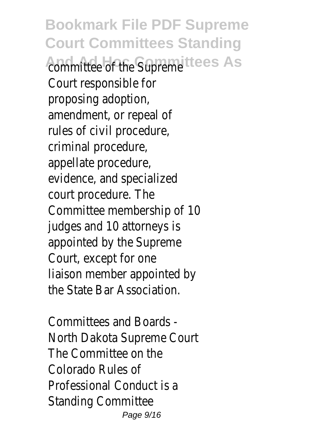**Bookmark File PDF Supreme Court Committees Standing** committee of the Supreme ees As Court responsible for proposing adoption, amendment, or repeal of rules of civil procedure, criminal procedure, appellate procedure, evidence, and specialized court procedure. The Committee membership of 10 judges and 10 attorneys is appointed by the Supreme Court, except for one liaison member appointed by the State Bar Association.

Committees and Boards - North Dakota Supreme Court The Committee on the Colorado Rules of Professional Conduct is a Standing Committee Page 9/16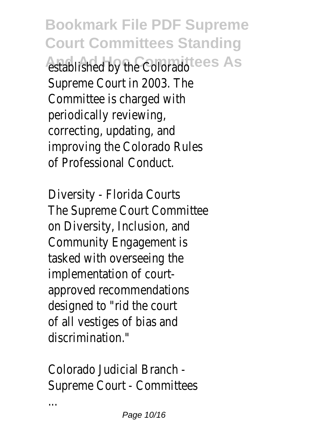**Bookmark File PDF Supreme Court Committees Standing** established by the Colorado<sup>ces</sup> As Supreme Court in 2003. The Committee is charged with periodically reviewing, correcting, updating, and improving the Colorado Rules of Professional Conduct.

Diversity - Florida Courts The Supreme Court Committee on Diversity, Inclusion, and Community Engagement is tasked with overseeing the implementation of courtapproved recommendations designed to "rid the court of all vestiges of bias and discrimination."

Colorado Judicial Branch - Supreme Court - Committees

...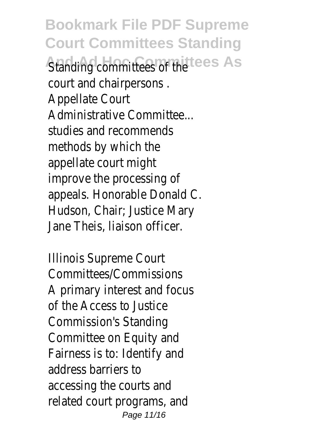**Bookmark File PDF Supreme Court Committees Standing Standing committees of the es As** court and chairpersons . Appellate Court Administrative Committee... studies and recommends methods by which the appellate court might improve the processing of appeals. Honorable Donald C. Hudson, Chair; Justice Mary Jane Theis, liaison officer.

Illinois Supreme Court Committees/Commissions A primary interest and focus of the Access to Justice Commission's Standing Committee on Equity and Fairness is to: Identify and address barriers to accessing the courts and related court programs, and Page 11/16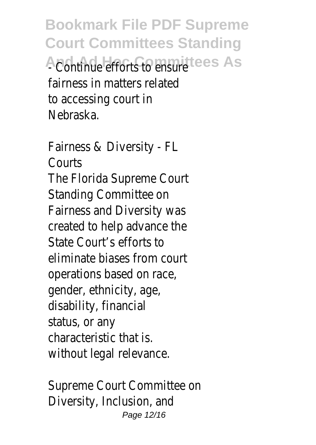**Bookmark File PDF Supreme Court Committees Standing A Continue efforts to ensure es As** fairness in matters related to accessing court in Nebraska.

Fairness & Diversity - FL Courts The Florida Supreme Court Standing Committee on Fairness and Diversity was created to help advance the State Court's efforts to eliminate biases from court operations based on race, gender, ethnicity, age, disability, financial status, or any characteristic that is. without legal relevance.

Supreme Court Committee on Diversity, Inclusion, and Page 12/16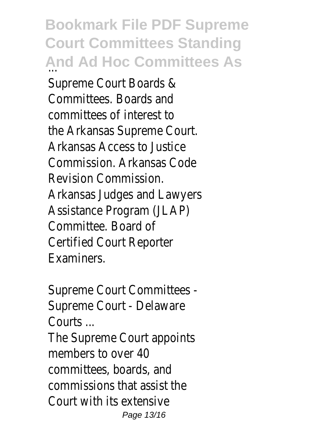**Bookmark File PDF Supreme Court Committees Standing And Ad Hoc Committees As** Supreme Court Boards & Committees. Boards and committees of interest to the Arkansas Supreme Court. Arkansas Access to Justice Commission. Arkansas Code Revision Commission. Arkansas Judges and Lawyers Assistance Program (JLAP) Committee. Board of Certified Court Reporter Examiners.

Supreme Court Committees - Supreme Court - Delaware Courts ...

The Supreme Court appoints members to over 40 committees, boards, and commissions that assist the Court with its extensive Page 13/16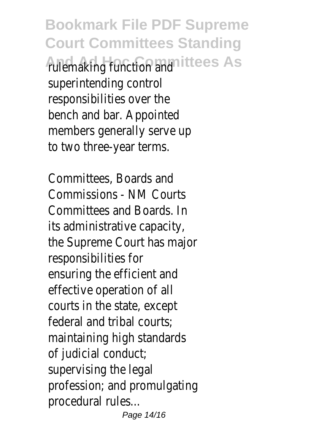**Bookmark File PDF Supreme Court Committees Standing And Ad Hoc Committees As** rulemaking function and superintending control responsibilities over the bench and bar. Appointed members generally serve up to two three-year terms.

Committees, Boards and Commissions - NM Courts Committees and Boards. In its administrative capacity, the Supreme Court has major responsibilities for ensuring the efficient and effective operation of all courts in the state, except federal and tribal courts; maintaining high standards of judicial conduct; supervising the legal profession; and promulgating procedural rules... Page 14/16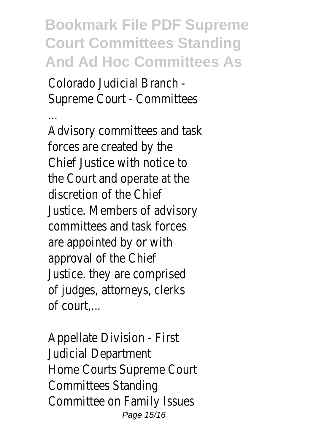**Bookmark File PDF Supreme Court Committees Standing And Ad Hoc Committees As**

Colorado Judicial Branch - Supreme Court - Committees

... Advisory committees and task forces are created by the Chief Justice with notice to the Court and operate at the discretion of the Chief Justice. Members of advisory committees and task forces are appointed by or with approval of the Chief Justice. they are comprised of judges, attorneys, clerks of court,...

Appellate Division - First Judicial Department Home Courts Supreme Court Committees Standing Committee on Family Issues Page 15/16